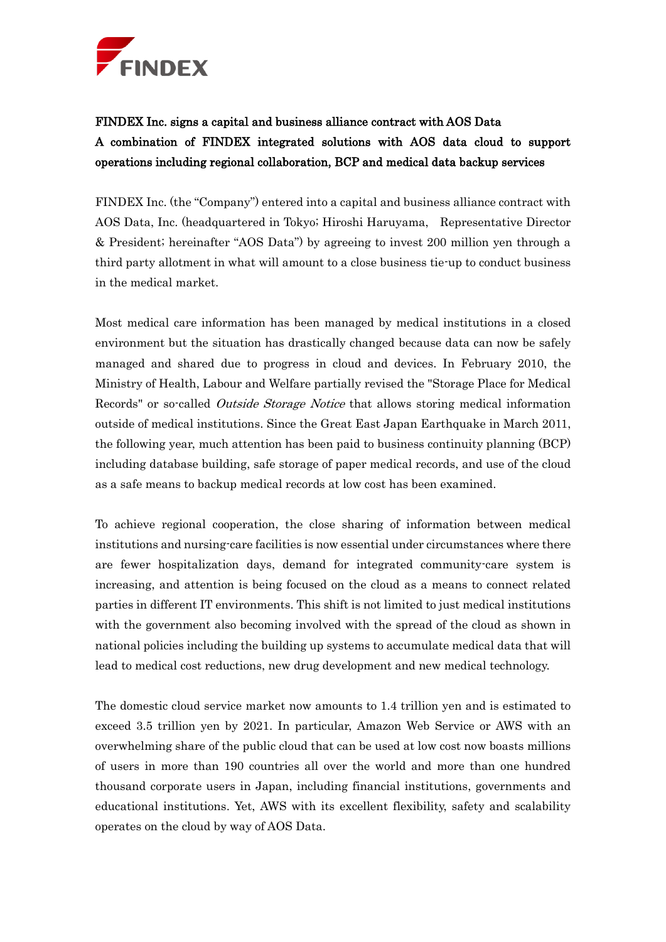

FINDEX Inc. signs a capital and business alliance contract with AOS Data A combination of FINDEX integrated solutions with AOS data cloud to support operations including regional collaboration, BCP and medical data backup services

FINDEX Inc. (the "Company") entered into a capital and business alliance contract with AOS Data, Inc. (headquartered in Tokyo; Hiroshi Haruyama, Representative Director & President; hereinafter "AOS Data") by agreeing to invest 200 million yen through a third party allotment in what will amount to a close business tie-up to conduct business in the medical market.

Most medical care information has been managed by medical institutions in a closed environment but the situation has drastically changed because data can now be safely managed and shared due to progress in cloud and devices. In February 2010, the Ministry of Health, Labour and Welfare partially revised the "Storage Place for Medical Records" or so-called *Outside Storage Notice* that allows storing medical information outside of medical institutions. Since the Great East Japan Earthquake in March 2011, the following year, much attention has been paid to business continuity planning (BCP) including database building, safe storage of paper medical records, and use of the cloud as a safe means to backup medical records at low cost has been examined.

To achieve regional cooperation, the close sharing of information between medical institutions and nursing-care facilities is now essential under circumstances where there are fewer hospitalization days, demand for integrated community-care system is increasing, and attention is being focused on the cloud as a means to connect related parties in different IT environments. This shift is not limited to just medical institutions with the government also becoming involved with the spread of the cloud as shown in national policies including the building up systems to accumulate medical data that will lead to medical cost reductions, new drug development and new medical technology.

The domestic cloud service market now amounts to 1.4 trillion yen and is estimated to exceed 3.5 trillion yen by 2021. In particular, Amazon Web Service or AWS with an overwhelming share of the public cloud that can be used at low cost now boasts millions of users in more than 190 countries all over the world and more than one hundred thousand corporate users in Japan, including financial institutions, governments and educational institutions. Yet, AWS with its excellent flexibility, safety and scalability operates on the cloud by way of AOS Data.